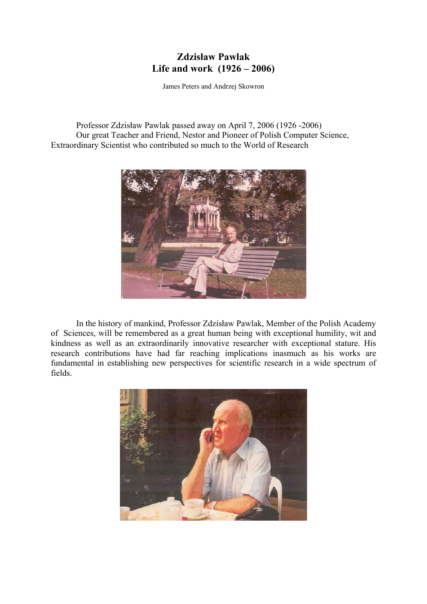# **Zdzisław Pawlak Life and work (1926 – 2006)**

James Peters and Andrzej Skowron

Professor Zdzisław Pawlak passed away on April 7, 2006 (1926 -2006) Our great Teacher and Friend, Nestor and Pioneer of Polish Computer Science, Extraordinary Scientist who contributed so much to the World of Research



In the history of mankind, Professor Zdzisław Pawlak, Member of the Polish Academy of Sciences, will be remembered as a great human being with exceptional humility, wit and kindness as well as an extraordinarily innovative researcher with exceptional stature. His research contributions have had far reaching implications inasmuch as his works are fundamental in establishing new perspectives for scientific research in a wide spectrum of fields.

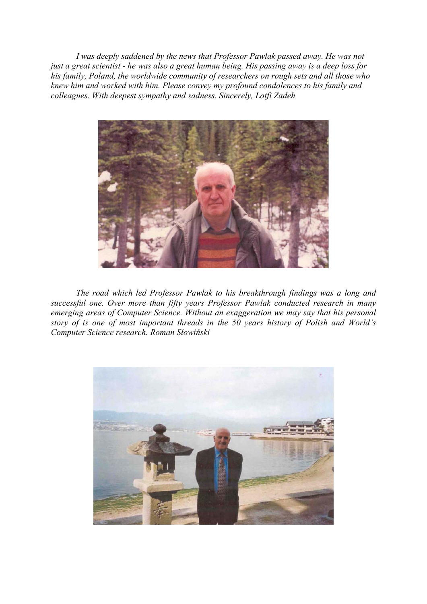*I was deeply saddened by the news that Professor Pawlak passed away. He was not just a great scientist - he was also a great human being. His passing away is a deep loss for his family, Poland, the worldwide community of researchers on rough sets and all those who knew him and worked with him. Please convey my profound condolences to his family and colleagues. With deepest sympathy and sadness. Sincerely, Lotfi Zadeh*



*The road which led Professor Pawlak to his breakthrough findings was a long and successful one. Over more than fifty years Professor Pawlak conducted research in many emerging areas of Computer Science. Without an exaggeration we may say that his personal story of is one of most important threads in the 50 years history of Polish and World's Computer Science research. Roman Słowiński* 

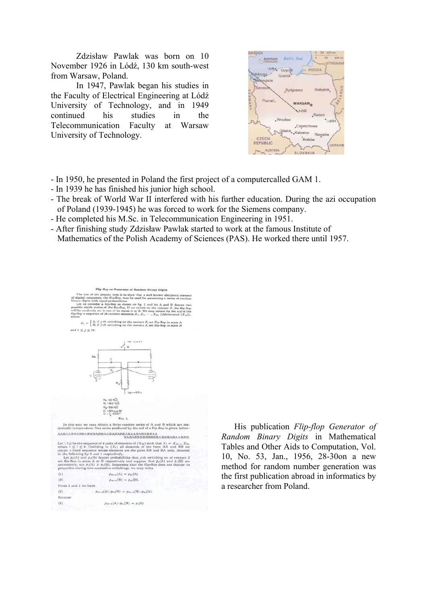Zdzisław Pawlak was born on 10 November 1926 in Lódź, 130 km south-west from Warsaw, Poland.

In 1947, Pawlak began his studies in the Faculty of Electrical Engineering at Lódź University of Technology, and in 1949 continued his studies in the Telecommunication Faculty at Warsaw University of Technology.



- In 1950, he presented in Poland the first project of a computercalled GAM 1.

- In 1939 he has finished his junior high school.
- The break of World War II interfered with his further education. During the azi occupation of Poland (1939-1945) he was forced to work for the Siemens company.
- He completed his M.Sc. in Telecommunication Engineering in 1951.
- After finishing study Zdzisław Pawlak started to work at the famous Institute of Mathematics of the Polish Academy of Sciences (PAS). He worked there until 1957.



His publication *Flip-flop Generator of Random Binary Digits* in Mathematical Tables and Other Aids to Computation, Vol. 10, No. 53, Jan., 1956, 28-30on a new method for random number generation was the first publication abroad in informatics by a researcher from Poland.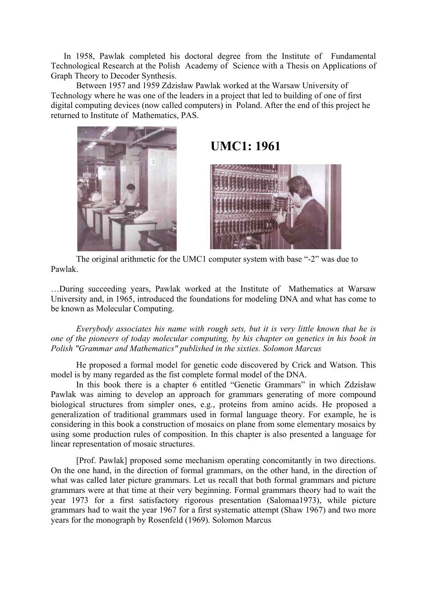In 1958, Pawlak completed his doctoral degree from the Institute of Fundamental Technological Research at the Polish Academy of Science with a Thesis on Applications of Graph Theory to Decoder Synthesis.

Between 1957 and 1959 Zdzisław Pawlak worked at the Warsaw University of Technology where he was one of the leaders in a project that led to building of one of first digital computing devices (now called computers) in Poland. After the end of this project he returned to Institute of Mathematics, PAS.



# **UMC1: 1961**



The original arithmetic for the UMC1 computer system with base "-2" was due to Pawlak.

…During succeeding years, Pawlak worked at the Institute of Mathematics at Warsaw University and, in 1965, introduced the foundations for modeling DNA and what has come to be known as Molecular Computing.

*Everybody associates his name with rough sets, but it is very little known that he is one of the pioneers of today molecular computing, by his chapter on genetics in his book in Polish "Grammar and Mathematics" published in the sixties. Solomon Marcus* 

He proposed a formal model for genetic code discovered by Crick and Watson. This model is by many regarded as the fist complete formal model of the DNA.

In this book there is a chapter 6 entitled "Genetic Grammars" in which Zdzisław Pawlak was aiming to develop an approach for grammars generating of more compound biological structures from simpler ones, e.g., proteins from amino acids. He proposed a generalization of traditional grammars used in formal language theory. For example, he is considering in this book a construction of mosaics on plane from some elementary mosaics by using some production rules of composition. In this chapter is also presented a language for linear representation of mosaic structures.

[Prof. Pawlak] proposed some mechanism operating concomitantly in two directions. On the one hand, in the direction of formal grammars, on the other hand, in the direction of what was called later picture grammars. Let us recall that both formal grammars and picture grammars were at that time at their very beginning. Formal grammars theory had to wait the year 1973 for a first satisfactory rigorous presentation (Salomaa1973), while picture grammars had to wait the year 1967 for a first systematic attempt (Shaw 1967) and two more years for the monograph by Rosenfeld (1969). Solomon Marcus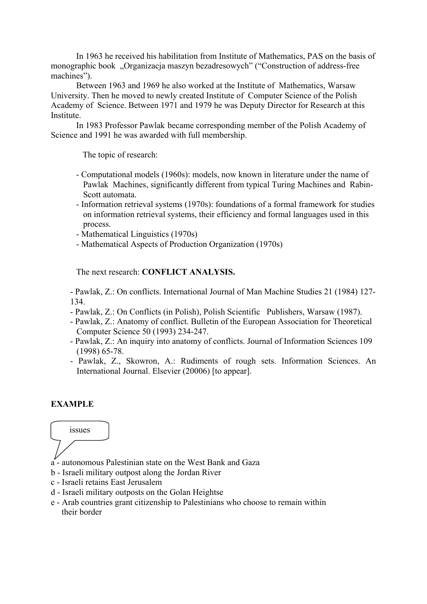In 1963 he received his habilitation from Institute of Mathematics, PAS on the basis of monographic book "Organizacja maszyn bezadresowych" ("Construction of address-free machines").

Between 1963 and 1969 he also worked at the Institute of Mathematics, Warsaw University. Then he moved to newly created Institute of Computer Science of the Polish Academy of Science. Between 1971 and 1979 he was Deputy Director for Research at this Institute.

 In 1983 Professor Pawlak became corresponding member of the Polish Academy of Science and 1991 he was awarded with full membership.

The topic of research:

- Computational models (1960s): models, now known in literature under the name of Pawlak Machines, significantly different from typical Turing Machines and Rabin-Scott automata.
- Information retrieval systems (1970s): foundations of a formal framework for studies on information retrieval systems, their efficiency and formal languages used in this process.
- Mathematical Linguistics (1970s)
- Mathematical Aspects of Production Organization (1970s)

The next research: **CONFLICT ANALYSIS.** 

- Pawlak, Z.: On conflicts. International Journal of Man Machine Studies 21 (1984) 127- 134.

- Pawlak, Z.: On Conflicts (in Polish), Polish Scientific Publishers, Warsaw (1987).
- Pawlak, Z.: Anatomy of conflict. Bulletin of the European Association for Theoretical Computer Science 50 (1993) 234-247.
- Pawlak, Z.: An inquiry into anatomy of conflicts. Journal of Information Sciences 109 (1998) 65-78.
- Pawlak, Z., Skowron, A.: Rudiments of rough sets. Information Sciences. An International Journal. Elsevier (20006) [to appear].

#### **EXAMPLE**

# issues

- 
- a autonomous Palestinian state on the West Bank and Gaza
- b Israeli military outpost along the Jordan River
- c Israeli retains East Jerusalem
- d Israeli military outposts on the Golan Heightse
- e Arab countries grant citizenship to Palestinians who choose to remain within their border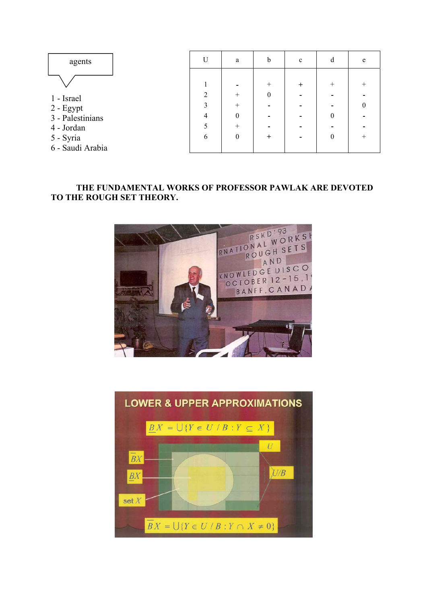

- 4 Jordan
- 5 Syria
- 6 Saudi Arabia

| $\overline{U}$          | a                | b                | $\mathbf c$ | d                | ${\rm e}$        |
|-------------------------|------------------|------------------|-------------|------------------|------------------|
|                         |                  |                  |             |                  |                  |
| $\mathbf{1}$            |                  | $^{+}$           | $^+$        | $^{+}$           | $^{+}$           |
| $\sqrt{2}$              | $^{+}$           | $\boldsymbol{0}$ |             |                  |                  |
| $\overline{\mathbf{3}}$ | $\! + \!$        |                  |             |                  | $\boldsymbol{0}$ |
| $\overline{4}$          | $\boldsymbol{0}$ |                  |             | $\boldsymbol{0}$ |                  |
| 5                       | $^{+}$           |                  |             |                  |                  |
| 6                       | $\boldsymbol{0}$ | $\,{}^+$         |             | $\boldsymbol{0}$ | $^{+}$           |
|                         |                  |                  |             |                  |                  |

# **THE FUNDAMENTAL WORKS OF PROFESSOR PAWLAK ARE DEVOTED TO THE ROUGH SET THEORY.**



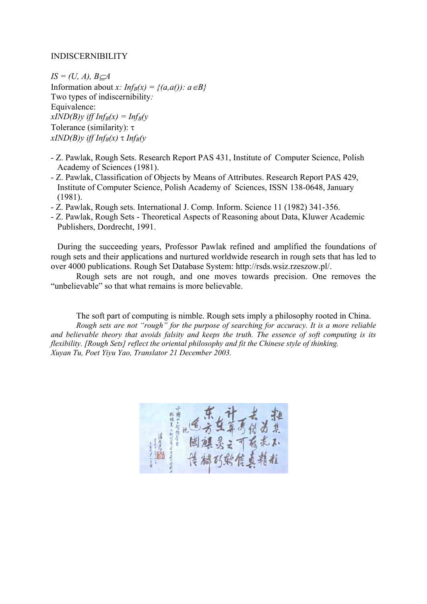#### INDISCERNIBILITY

 $IS = (U, A), B \subset A$ Information about *x*:  $Inf_B(x) = \{(a,a)) : a \in B\}$ Two types of indiscernibility*:*  Equivalence:  $xIND(B)y$  iff  $Inf_B(x) = Inf_B(y)$ Tolerance (similarity): τ  $xIND(B)y$  *iff Inf<sub>B</sub>(x)*  $\tau$  *Inf<sub>B</sub>(y*)

- Z. Pawlak, Rough Sets. Research Report PAS 431, Institute of Computer Science, Polish Academy of Sciences (1981).
- Z. Pawlak, Classification of Objects by Means of Attributes. Research Report PAS 429, Institute of Computer Science, Polish Academy of Sciences, ISSN 138-0648, January (1981).
- Z. Pawlak, Rough sets. International J. Comp. Inform. Science 11 (1982) 341-356.
- Z. Pawlak, Rough Sets Theoretical Aspects of Reasoning about Data, Kluwer Academic Publishers, Dordrecht, 1991.

During the succeeding years, Professor Pawlak refined and amplified the foundations of rough sets and their applications and nurtured worldwide research in rough sets that has led to over 4000 publications. Rough Set Database System: http://rsds.wsiz.rzeszow.pl/.

Rough sets are not rough, and one moves towards precision. One removes the "unbelievable" so that what remains is more believable.

The soft part of computing is nimble. Rough sets imply a philosophy rooted in China. *Rough sets are not "rough" for the purpose of searching for accuracy. It is a more reliable and believable theory that avoids falsity and keeps the truth. The essence of soft computing is its flexibility. [Rough Sets] reflect the oriental philosophy and fit the Chinese style of thinking. Xuyan Tu, Poet Yiyu Yao, Translator 21 December 2003.*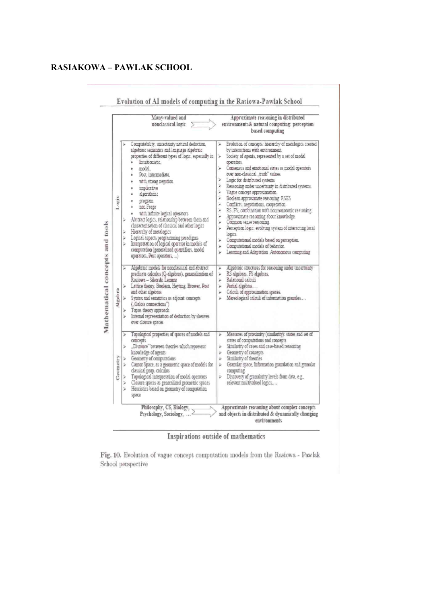# **RASIAKOWA – PAWLAK SCHOOL**

|          | Many-valued and<br>nonclassical logic                                                                                                                                                                                                                                                                                                                                                                                                                                                                                                                                                                                                     | Approximate reasoning in distributed<br>environments& natural computing: perception<br>based computing                                                                                                                                                                                                                                                                                                                                                                                                                                                                                                                                                                                                                                                                                                                                      |
|----------|-------------------------------------------------------------------------------------------------------------------------------------------------------------------------------------------------------------------------------------------------------------------------------------------------------------------------------------------------------------------------------------------------------------------------------------------------------------------------------------------------------------------------------------------------------------------------------------------------------------------------------------------|---------------------------------------------------------------------------------------------------------------------------------------------------------------------------------------------------------------------------------------------------------------------------------------------------------------------------------------------------------------------------------------------------------------------------------------------------------------------------------------------------------------------------------------------------------------------------------------------------------------------------------------------------------------------------------------------------------------------------------------------------------------------------------------------------------------------------------------------|
| Legic    | Computability, uncertainty natural deduction,<br>algebraic semantics and language algebraic<br>properties of different types of logic, especially in:<br>Intuitionistic.<br>modal.<br>Post, intermediate,<br>with strong negation<br>implicative<br>alsonthand<br>program<br>non Frege<br>with infinite logical operators<br>Abstract logics, relationship between them and<br>characterization of classical and other logics<br>Hierarchy of metalogics<br>Logical aspects programming paradignis<br>¥<br>Interpretation of logical operator in models of<br>computation (generalized quantifiers, model<br>operators, Post operators, ) | Evolution of concepts: hierarchy of metalogics created<br>by interactions with environment.<br>Society of agents, represented by a set of modal<br>s.<br>operators.<br>Consensus and emotional states as modal operators<br>over non-classical truth" values.<br>Logic for distributed systems<br>Reasoning under uncertainty in distributed systems.<br>×<br>Vague concept approximation<br>y.<br>Boolean approximate reasoning RSES<br>×<br>Conflicts, negotiations, cooperation.<br>r<br>RS. FS. combination with nonmonotome reasoning.<br>r<br>Approximate reasoning about knowledge.<br>Common sense reasoning<br>r<br>Perception logic: evolving system of interacting local<br>logics.<br>Computational models based on perception.<br>s.<br>Computational models of behavior.<br>×<br>Learning and Adaptation Autonomous computing |
| Algebra  | Algebraic models for nonclassical and abstract<br>×<br>predicate calculus (Q-algebras), generalization of<br>Rasiowa – Sikorski Lemma<br>Lattice theory, Boolean, Heyting, Brower, Post<br>×<br>and other algebras<br>Syntax and semantics as adjoint concepts<br>(Galois connections")<br>Topos theory approach<br>٧<br>۶<br>Internal representation of deduction by sheaves<br>over closure spaces                                                                                                                                                                                                                                      | Algebraic structures for reasoning under uncertainty<br>RS algebras, FS algebras,<br>¥<br>Relational calculi<br>Se.<br>Partial algebras,<br>¥.<br>Calculi of approximation spaces.<br>٧<br>Mereological calculi of information granules<br>٧                                                                                                                                                                                                                                                                                                                                                                                                                                                                                                                                                                                                |
| Geometry | Topological properties of spaces of models and<br>×<br>concepts<br>"Distance" between theories which represent<br>۶<br>knowledge of agents<br>Geometry of computations<br>Cantor Space, as a geometric space of models for<br>×<br>classical prop. calculus<br>Topological interpretation of modal operators<br>Dr.<br>Closure spaces as generalized geometric spaces<br>×<br>Heuristics based on geometry of computation<br>٧<br>space                                                                                                                                                                                                   | Measures of proximity (similarity): states and set of<br>states of computations and concepts<br>Similarity of cases and case-based reasoning<br>id.<br>Geometry of concepts<br>y.<br>Similarity of theories<br>Granular space, Information granulation and gramilar<br>computing<br>Discovery of gramilarity levels from data, e.g.,<br>尘<br>relevant multivalued logics                                                                                                                                                                                                                                                                                                                                                                                                                                                                    |

Evolution of AI models of computing in the Pasiers Partlels School

Inspirations outside of mathematics

Fig. 10. Evolution of vague concept computation models from the Rasiowa - Pawlak School perspective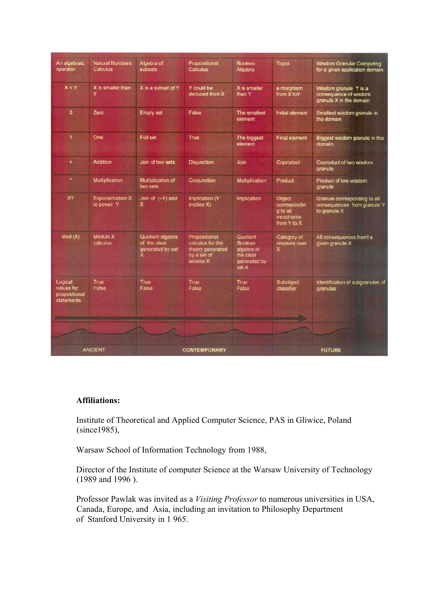| An algebraic<br>operator                                                                  | <b>Natural Numbers</b><br><b>Calculus</b> | Algebra of<br><b>subsets</b>                                                                                                            | Propositional<br>Calculus                                                        | <b>Boolean</b><br>Algebra                                               | Topoi                                                          | <b>Wisdom Granular Computing</b><br>for a given application domain          |
|-------------------------------------------------------------------------------------------|-------------------------------------------|-----------------------------------------------------------------------------------------------------------------------------------------|----------------------------------------------------------------------------------|-------------------------------------------------------------------------|----------------------------------------------------------------|-----------------------------------------------------------------------------|
| X < Y                                                                                     | X is smaller than<br>Y                    | X is a subset of Y                                                                                                                      | Y could be<br>deduced from X                                                     | X is smaller<br>than Y                                                  | a morphism<br>from X toY                                       | Wisdom granule Y is a<br>consequence of wisdom<br>granule X in the domain   |
| $\circ$                                                                                   | Zero                                      | <b>Empty set</b>                                                                                                                        | False                                                                            | The smallest<br>element                                                 | Initial element                                                | Smallest wisdom granule in<br>the domain                                    |
| 1                                                                                         | One                                       | Full set                                                                                                                                | True                                                                             | The biggest<br>element                                                  | <b>Final element</b>                                           | Biggest wisdom granule in the<br>domain                                     |
| $\ddot{}$                                                                                 | <b>Addition</b>                           | Join of two sets                                                                                                                        | <b>Disjunction</b>                                                               | Join                                                                    | Coproduct                                                      | Coproduct of two wisdom<br>granule                                          |
| ٠                                                                                         | Multiplication                            | <b>Multiplication of</b><br>two sets                                                                                                    | Conjunction                                                                      | Multiplication                                                          | Product                                                        | Product of two wisdom<br>granule                                            |
| XY                                                                                        | <b>Exponentiation X</b><br>to power Y     | Join of $(-Y)$ and<br>x                                                                                                                 | Implication (Y)<br>implies X)                                                    | Implication                                                             | Object<br>correspondin<br>g to all<br>morphisms<br>from Y to X | Granule corresponding to all<br>consequences from granule Y<br>to granule X |
| Mod(X)                                                                                    | <b>Modulo X</b><br>calculus               | Quotient algebra<br>of the ideal<br>generated by set<br>×                                                                               | Propositional<br>calculus for the<br>theory generated<br>by a set of<br>axioms X | Quotient<br>Boolean<br>algebra of<br>the ideal<br>generated by<br>set A | Category of<br>sheaves over<br>x                               | All consequences froml a<br>given granule X                                 |
| Logical<br>values for<br>propositional<br>statements<br><b>Contract Contract Contract</b> | True<br>False                             | True<br>False<br><u> De la companya de la companya de la companya de la companya de la companya de la companya de la companya de la</u> | True<br>False                                                                    | True<br>False                                                           | Subobject<br>classifier                                        | Identification of subgranules of<br>granules                                |
|                                                                                           |                                           |                                                                                                                                         |                                                                                  |                                                                         |                                                                |                                                                             |
| <b>ANCIENT</b>                                                                            |                                           | <b>CONTEMPORARY</b>                                                                                                                     |                                                                                  |                                                                         | <b>FUTURE</b>                                                  |                                                                             |

## **Affiliations:**

Institute of Theoretical and Applied Computer Science, PAS in Gliwice, Poland (since1985),

Warsaw School of Information Technology from 1988,

Director of the Institute of computer Science at the Warsaw University of Technology (1989 and 1996 ).

Professor Pawlak was invited as a *Visiting Professor* to numerous universities in USA, Canada, Europe, and Asia, including an invitation to Philosophy Department of Stanford University in 1 965.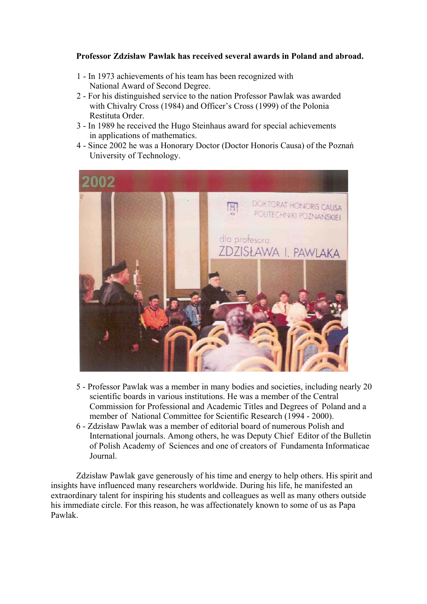## **Professor Zdzisław Pawlak has received several awards in Poland and abroad.**

- 1 In 1973 achievements of his team has been recognized with National Award of Second Degree.
- 2 For his distinguished service to the nation Professor Pawlak was awarded with Chivalry Cross (1984) and Officer's Cross (1999) of the Polonia Restituta Order.
- 3 In 1989 he received the Hugo Steinhaus award for special achievements in applications of mathematics.
- 4 Since 2002 he was a Honorary Doctor (Doctor Honoris Causa) of the Poznań University of Technology.



- 5 Professor Pawlak was a member in many bodies and societies, including nearly 20 scientific boards in various institutions. He was a member of the Central Commission for Professional and Academic Titles and Degrees of Poland and a member of National Committee for Scientific Research (1994 - 2000).
- 6 Zdzisław Pawlak was a member of editorial board of numerous Polish and International journals. Among others, he was Deputy Chief Editor of the Bulletin of Polish Academy of Sciences and one of creators of Fundamenta Informaticae Journal.

Zdzisław Pawlak gave generously of his time and energy to help others. His spirit and insights have influenced many researchers worldwide. During his life, he manifested an extraordinary talent for inspiring his students and colleagues as well as many others outside his immediate circle. For this reason, he was affectionately known to some of us as Papa Pawlak.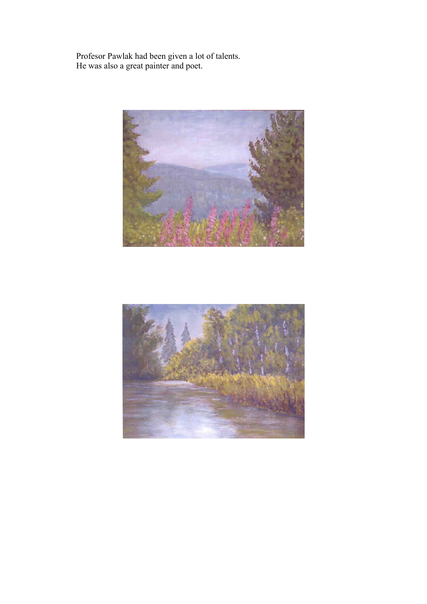Profesor Pawlak had been given a lot of talents. He was also a great painter and poet.



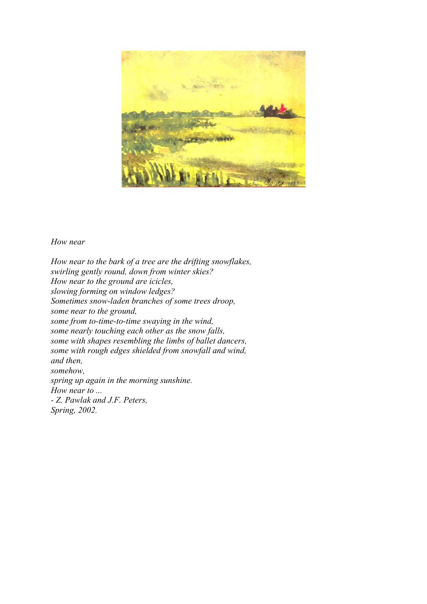

#### *How near*

*How near to the bark of a tree are the drifting snowflakes, swirling gently round, down from winter skies? How near to the ground are icicles, slowing forming on window ledges? Sometimes snow-laden branches of some trees droop, some near to the ground, some from to-time-to-time swaying in the wind, some nearly touching each other as the snow falls, some with shapes resembling the limbs of ballet dancers, some with rough edges shielded from snowfall and wind, and then, somehow, spring up again in the morning sunshine. How near to ... - Z. Pawlak and J.F. Peters, Spring, 2002.*